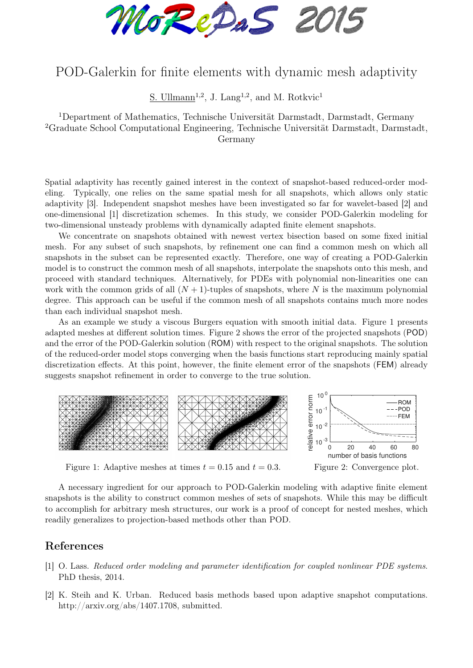MoRePaS 2015

## POD-Galerkin for finite elements with dynamic mesh adaptivity

S. Ullmann<sup>1,2</sup>, J. Lang<sup>1,2</sup>, and M. Rotkvic<sup>1</sup>

<sup>1</sup>Department of Mathematics, Technische Universität Darmstadt, Darmstadt, Germany <sup>2</sup>Graduate School Computational Engineering, Technische Universität Darmstadt, Darmstadt, Germany

Spatial adaptivity has recently gained interest in the context of snapshot-based reduced-order modeling. Typically, one relies on the same spatial mesh for all snapshots, which allows only static adaptivity [3]. Independent snapshot meshes have been investigated so far for wavelet-based [2] and one-dimensional [1] discretization schemes. In this study, we consider POD-Galerkin modeling for two-dimensional unsteady problems with dynamically adapted finite element snapshots.

We concentrate on snapshots obtained with newest vertex bisection based on some fixed initial mesh. For any subset of such snapshots, by refinement one can find a common mesh on which all snapshots in the subset can be represented exactly. Therefore, one way of creating a POD-Galerkin model is to construct the common mesh of all snapshots, interpolate the snapshots onto this mesh, and proceed with standard techniques. Alternatively, for PDEs with polynomial non-linearities one can work with the common grids of all  $(N + 1)$ -tuples of snapshots, where N is the maximum polynomial degree. This approach can be useful if the common mesh of all snapshots contains much more nodes than each individual snapshot mesh.

As an example we study a viscous Burgers equation with smooth initial data. Figure 1 presents adapted meshes at different solution times. Figure 2 shows the error of the projected snapshots (POD) and the error of the POD-Galerkin solution (ROM) with respect to the original snapshots. The solution of the reduced-order model stops converging when the basis functions start reproducing mainly spatial discretization effects. At this point, however, the finite element error of the snapshots (FEM) already suggests snapshot refinement in order to converge to the true solution.



Figure 1: Adaptive meshes at times  $t = 0.15$  and  $t = 0.3$ .

Figure 2: Convergence plot.

A necessary ingredient for our approach to POD-Galerkin modeling with adaptive finite element snapshots is the ability to construct common meshes of sets of snapshots. While this may be difficult to accomplish for arbitrary mesh structures, our work is a proof of concept for nested meshes, which readily generalizes to projection-based methods other than POD.

## References

- [1] O. Lass. Reduced order modeling and parameter identification for coupled nonlinear PDE systems. PhD thesis, 2014.
- [2] K. Steih and K. Urban. Reduced basis methods based upon adaptive snapshot computations. http://arxiv.org/abs/1407.1708, submitted.